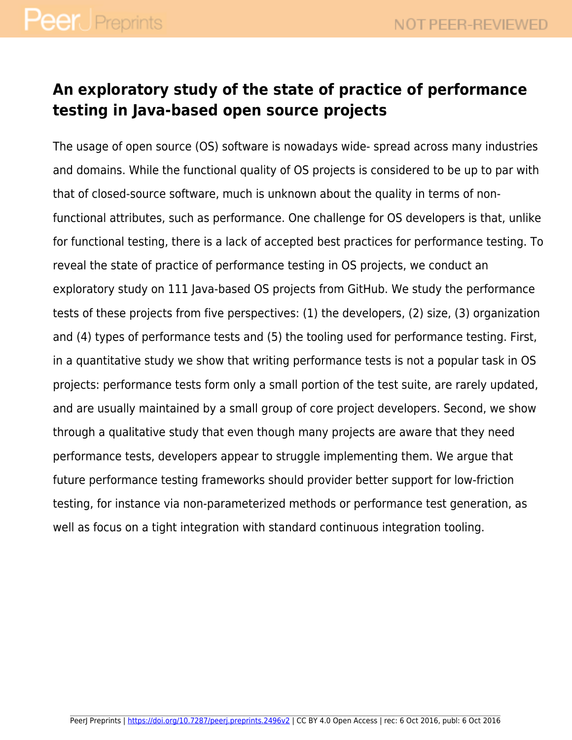# **An exploratory study of the state of practice of performance testing in Java-based open source projects**

The usage of open source (OS) software is nowadays wide- spread across many industries and domains. While the functional quality of OS projects is considered to be up to par with that of closed-source software, much is unknown about the quality in terms of nonfunctional attributes, such as performance. One challenge for OS developers is that, unlike for functional testing, there is a lack of accepted best practices for performance testing. To reveal the state of practice of performance testing in OS projects, we conduct an exploratory study on 111 Java-based OS projects from GitHub. We study the performance tests of these projects from five perspectives: (1) the developers, (2) size, (3) organization and (4) types of performance tests and (5) the tooling used for performance testing. First, in a quantitative study we show that writing performance tests is not a popular task in OS projects: performance tests form only a small portion of the test suite, are rarely updated, and are usually maintained by a small group of core project developers. Second, we show through a qualitative study that even though many projects are aware that they need performance tests, developers appear to struggle implementing them. We argue that future performance testing frameworks should provider better support for low-friction testing, for instance via non-parameterized methods or performance test generation, as well as focus on a tight integration with standard continuous integration tooling.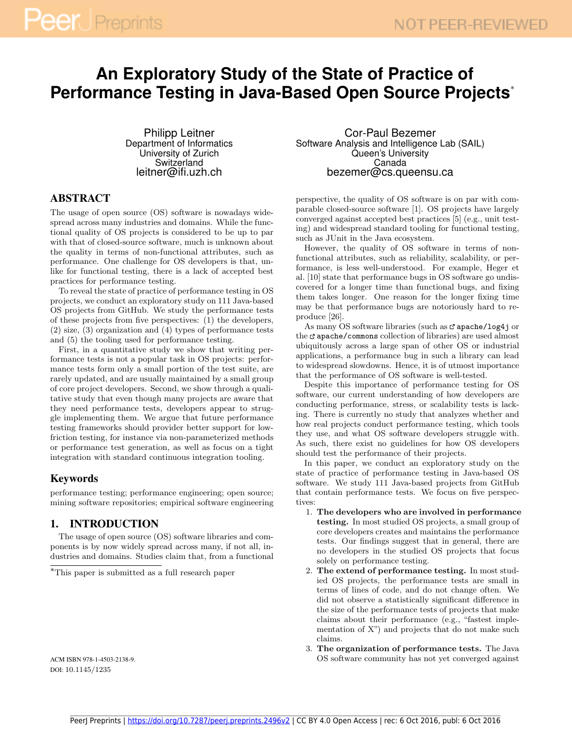## **An Exploratory Study of the State of Practice of Performance Testing in Java-Based Open Source Projects**<sup>∗</sup>

Philipp Leitner Department of Informatics University of Zurich **Switzerland** leitner@ifi.uzh.ch

### ABSTRACT

The usage of open source (OS) software is nowadays widespread across many industries and domains. While the functional quality of OS projects is considered to be up to par with that of closed-source software, much is unknown about the quality in terms of non-functional attributes, such as performance. One challenge for OS developers is that, unlike for functional testing, there is a lack of accepted best practices for performance testing.

To reveal the state of practice of performance testing in OS projects, we conduct an exploratory study on 111 Java-based OS projects from GitHub. We study the performance tests of these projects from five perspectives: (1) the developers, (2) size, (3) organization and (4) types of performance tests and (5) the tooling used for performance testing.

First, in a quantitative study we show that writing performance tests is not a popular task in OS projects: performance tests form only a small portion of the test suite, are rarely updated, and are usually maintained by a small group of core project developers. Second, we show through a qualitative study that even though many projects are aware that they need performance tests, developers appear to struggle implementing them. We argue that future performance testing frameworks should provider better support for lowfriction testing, for instance via non-parameterized methods or performance test generation, as well as focus on a tight integration with standard continuous integration tooling.

## Keywords

performance testing; performance engineering; open source; mining software repositories; empirical software engineering

## 1. INTRODUCTION

The usage of open source (OS) software libraries and components is by now widely spread across many, if not all, industries and domains. Studies claim that, from a functional

ACM ISBN 978-1-4503-2138-9. DOI: <10.1145/1235>

Cor-Paul Bezemer Software Analysis and Intelligence Lab (SAIL) Queen's University Canada bezemer@cs.queensu.ca

perspective, the quality of OS software is on par with comparable closed-source software [\[1\]](#page-11-0). OS projects have largely converged against accepted best practices [\[5\]](#page-12-0) (e.g., unit testing) and widespread standard tooling for functional testing, such as JUnit in the Java ecosystem.

However, the quality of OS software in terms of nonfunctional attributes, such as reliability, scalability, or performance, is less well-understood. For example, Heger et al. [\[10\]](#page-12-1) state that performance bugs in OS software go undiscovered for a longer time than functional bugs, and fixing them takes longer. One reason for the longer fixing time may be that performance bugs are notoriously hard to reproduce [\[26\]](#page-12-2).

As many OS software libraries (such as  $\sigma$  [apache/log4j](https://github.com/apache/log4j) or the  $\mathfrak c$  [apache/commons](https://commons.apache.org/) collection of libraries) are used almost ubiquitously across a large span of other OS or industrial applications, a performance bug in such a library can lead to widespread slowdowns. Hence, it is of utmost importance that the performance of OS software is well-tested.

Despite this importance of performance testing for OS software, our current understanding of how developers are conducting performance, stress, or scalability tests is lacking. There is currently no study that analyzes whether and how real projects conduct performance testing, which tools they use, and what OS software developers struggle with. As such, there exist no guidelines for how OS developers should test the performance of their projects.

In this paper, we conduct an exploratory study on the state of practice of performance testing in Java-based OS software. We study 111 Java-based projects from GitHub that contain performance tests. We focus on five perspectives:

- 1. The developers who are involved in performance testing. In most studied OS projects, a small group of core developers creates and maintains the performance tests. Our findings suggest that in general, there are no developers in the studied OS projects that focus solely on performance testing.
- 2. The extend of performance testing. In most studied OS projects, the performance tests are small in terms of lines of code, and do not change often. We did not observe a statistically significant difference in the size of the performance tests of projects that make claims about their performance (e.g., "fastest implementation of X") and projects that do not make such claims.
- 3. The organization of performance tests. The Java OS software community has not yet converged against

<sup>∗</sup>This paper is submitted as a full research paper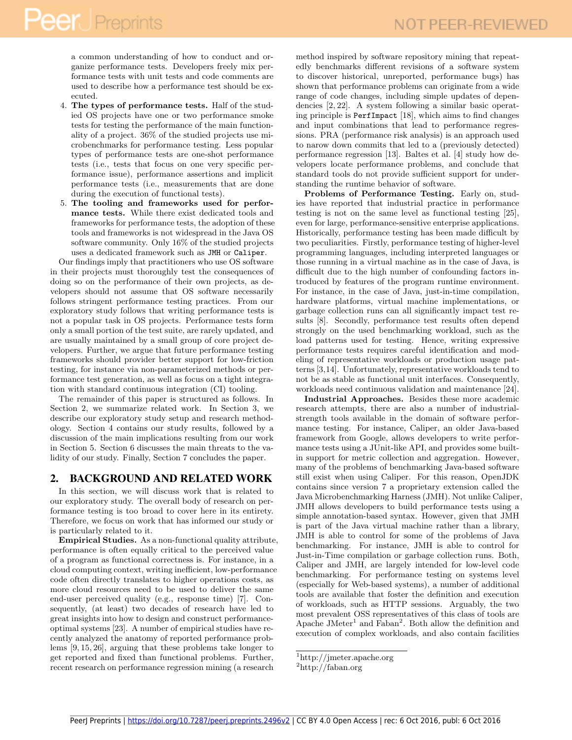a common understanding of how to conduct and organize performance tests. Developers freely mix performance tests with unit tests and code comments are used to describe how a performance test should be executed.

- 4. The types of performance tests. Half of the studied OS projects have one or two performance smoke tests for testing the performance of the main functionality of a project. 36% of the studied projects use microbenchmarks for performance testing. Less popular types of performance tests are one-shot performance tests (i.e., tests that focus on one very specific performance issue), performance assertions and implicit performance tests (i.e., measurements that are done during the execution of functional tests).
- 5. The tooling and frameworks used for performance tests. While there exist dedicated tools and frameworks for performance tests, the adoption of these tools and frameworks is not widespread in the Java OS software community. Only 16% of the studied projects uses a dedicated framework such as JMH or Caliper.

Our findings imply that practitioners who use OS software in their projects must thoroughly test the consequences of doing so on the performance of their own projects, as developers should not assume that OS software necessarily follows stringent performance testing practices. From our exploratory study follows that writing performance tests is not a popular task in OS projects. Performance tests form only a small portion of the test suite, are rarely updated, and are usually maintained by a small group of core project developers. Further, we argue that future performance testing frameworks should provider better support for low-friction testing, for instance via non-parameterized methods or performance test generation, as well as focus on a tight integration with standard continuous integration (CI) tooling.

The remainder of this paper is structured as follows. In Section [2,](#page-2-0) we summarize related work. In Section [3,](#page-3-0) we describe our exploratory study setup and research methodology. Section [4](#page-4-0) contains our study results, followed by a discussion of the main implications resulting from our work in Section [5.](#page-10-0) Section [6](#page-11-1) discusses the main threats to the validity of our study. Finally, Section [7](#page-11-2) concludes the paper.

### <span id="page-2-0"></span>2. BACKGROUND AND RELATED WORK

In this section, we will discuss work that is related to our exploratory study. The overall body of research on performance testing is too broad to cover here in its entirety. Therefore, we focus on work that has informed our study or is particularly related to it.

Empirical Studies. As a non-functional quality attribute, performance is often equally critical to the perceived value of a program as functional correctness is. For instance, in a cloud computing context, writing inefficient, low-performance code often directly translates to higher operations costs, as more cloud resources need to be used to deliver the same end-user perceived quality (e.g., response time) [\[7\]](#page-12-3). Consequently, (at least) two decades of research have led to great insights into how to design and construct performanceoptimal systems [\[23\]](#page-12-4). A number of empirical studies have recently analyzed the anatomy of reported performance problems [\[9,](#page-12-5) [15,](#page-12-6) [26\]](#page-12-2), arguing that these problems take longer to get reported and fixed than functional problems. Further, recent research on performance regression mining (a research

method inspired by software repository mining that repeatedly benchmarks different revisions of a software system to discover historical, unreported, performance bugs) has shown that performance problems can originate from a wide range of code changes, including simple updates of dependencies [\[2,](#page-11-3) [22\]](#page-12-7). A system following a similar basic operating principle is PerfImpact [\[18\]](#page-12-8), which aims to find changes and input combinations that lead to performance regressions. PRA (performance risk analysis) is an approach used to narow down commits that led to a (previously detected) performance regression [\[13\]](#page-12-9). Baltes et al. [\[4\]](#page-12-10) study how developers locate performance problems, and conclude that standard tools do not provide sufficient support for understanding the runtime behavior of software.

Problems of Performance Testing. Early on, studies have reported that industrial practice in performance testing is not on the same level as functional testing [\[25\]](#page-12-11), even for large, performance-sensitive enterprise applications. Historically, performance testing has been made difficult by two peculiarities. Firstly, performance testing of higher-level programming languages, including interpreted languages or those running in a virtual machine as in the case of Java, is difficult due to the high number of confounding factors introduced by features of the program runtime environment. For instance, in the case of Java, just-in-time compilation, hardware platforms, virtual machine implementations, or garbage collection runs can all significantly impact test results [\[8\]](#page-12-12). Secondly, performance test results often depend strongly on the used benchmarking workload, such as the load patterns used for testing. Hence, writing expressive performance tests requires careful identification and modeling of representative workloads or production usage patterns [\[3,](#page-11-4)[14\]](#page-12-13). Unfortunately, representative workloads tend to not be as stable as functional unit interfaces. Consequently, workloads need continuous validation and maintenance [\[24\]](#page-12-14).

Industrial Approaches. Besides these more academic research attempts, there are also a number of industrialstrength tools available in the domain of software performance testing. For instance, Caliper, an older Java-based framework from Google, allows developers to write performance tests using a JUnit-like API, and provides some builtin support for metric collection and aggregation. However, many of the problems of benchmarking Java-based software still exist when using Caliper. For this reason, OpenJDK contains since version 7 a proprietary extension called the Java Microbenchmarking Harness (JMH). Not unlike Caliper, JMH allows developers to build performance tests using a simple annotation-based syntax. However, given that JMH is part of the Java virtual machine rather than a library, JMH is able to control for some of the problems of Java benchmarking. For instance, JMH is able to control for Just-in-Time compilation or garbage collection runs. Both, Caliper and JMH, are largely intended for low-level code benchmarking. For performance testing on systems level (especially for Web-based systems), a number of additional tools are available that foster the definition and execution of workloads, such as HTTP sessions. Arguably, the two most prevalent OSS representatives of this class of tools are Apache J $Meter<sup>1</sup>$  $Meter<sup>1</sup>$  $Meter<sup>1</sup>$  and Faban<sup>[2](#page-2-2)</sup>. Both allow the definition and execution of complex workloads, and also contain facilities

<span id="page-2-1"></span><sup>1</sup><http://jmeter.apache.org>

<span id="page-2-2"></span> $^2$ <http://faban.org>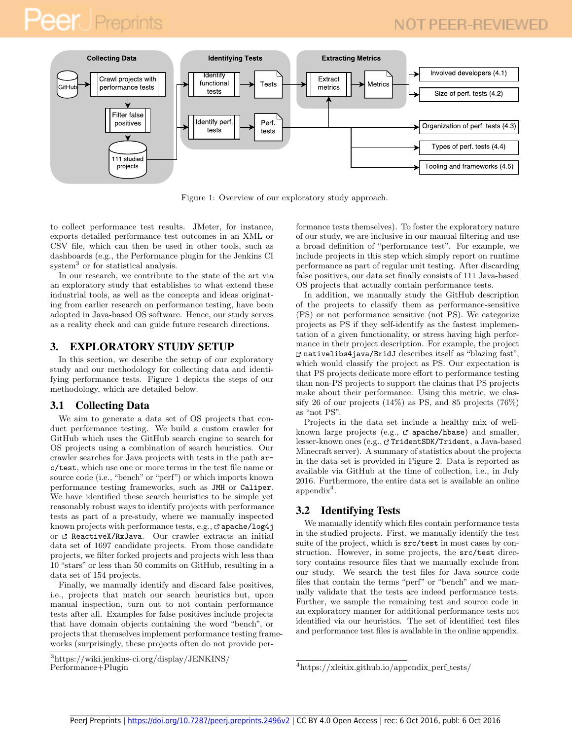## **NOT PEER-REVIEWED**

<span id="page-3-2"></span>

Figure 1: Overview of our exploratory study approach.

to collect performance test results. JMeter, for instance, exports detailed performance test outcomes in an XML or CSV file, which can then be used in other tools, such as dashboards (e.g., the Performance plugin for the Jenkins CI system<sup>[3](#page-3-1)</sup> or for statistical analysis.

In our research, we contribute to the state of the art via an exploratory study that establishes to what extend these industrial tools, as well as the concepts and ideas originating from earlier research on performance testing, have been adopted in Java-based OS software. Hence, our study serves as a reality check and can guide future research directions.

#### <span id="page-3-0"></span>3. EXPLORATORY STUDY SETUP

In this section, we describe the setup of our exploratory study and our methodology for collecting data and identifying performance tests. Figure [1](#page-3-2) depicts the steps of our methodology, which are detailed below.

#### 3.1 Collecting Data

We aim to generate a data set of OS projects that conduct performance testing. We build a custom crawler for GitHub which uses the GitHub search engine to search for OS projects using a combination of search heuristics. Our crawler searches for Java projects with tests in the path src/test, which use one or more terms in the test file name or source code (i.e., "bench" or "perf") or which imports known performance testing frameworks, such as JMH or Caliper. We have identified these search heuristics to be simple yet reasonably robust ways to identify projects with performance tests as part of a pre-study, where we manually inspected known projects with performance tests, e.g., c'[apache/log4j](https://github.com/apache/log4j) or C' [ReactiveX/RxJava](https://github.com/ReactiveX/RxJava). Our crawler extracts an initial data set of 1697 candidate projects. From those candidate projects, we filter forked projects and projects with less than 10 "stars" or less than 50 commits on GitHub, resulting in a data set of 154 projects.

Finally, we manually identify and discard false positives, i.e., projects that match our search heuristics but, upon manual inspection, turn out to not contain performance tests after all. Examples for false positives include projects that have domain objects containing the word "bench", or projects that themselves implement performance testing frameworks (surprisingly, these projects often do not provide per-

<span id="page-3-1"></span><sup>3</sup>[https://wiki.jenkins-ci.org/display/JENKINS/](https://wiki.jenkins-ci.org/display/JENKINS/Performance+Plugin) [Performance+Plugin](https://wiki.jenkins-ci.org/display/JENKINS/Performance+Plugin)

formance tests themselves). To foster the exploratory nature of our study, we are inclusive in our manual filtering and use a broad definition of "performance test". For example, we include projects in this step which simply report on runtime performance as part of regular unit testing. After discarding false positives, our data set finally consists of 111 Java-based OS projects that actually contain performance tests.

In addition, we manually study the GitHub description of the projects to classify them as performance-sensitive (PS) or not performance sensitive (not PS). We categorize projects as PS if they self-identify as the fastest implementation of a given functionality, or stress having high performance in their project description. For example, the project [nativelibs4java/BridJ](https://github.com/nativelibs4java/BridJ) describes itself as "blazing fast", which would classify the project as PS. Our expectation is that PS projects dedicate more effort to performance testing than non-PS projects to support the claims that PS projects make about their performance. Using this metric, we classify 26 of our projects (14%) as PS, and 85 projects (76%) as "not PS".

Projects in the data set include a healthy mix of wellknown large projects (e.g.,  $\sigma$  [apache/hbase](https://github.com/apache/hbase)) and smaller, lesser-known ones (e.g., & [TridentSDK/Trident](https://github.com/TridentSDK/Trident), a Java-based Minecraft server). A summary of statistics about the projects in the data set is provided in Figure [2.](#page-4-1) Data is reported as available via GitHub at the time of collection, i.e., in July 2016. Furthermore, the entire data set is available an online  $appendix<sup>4</sup>$  $appendix<sup>4</sup>$  $appendix<sup>4</sup>$ .

#### 3.2 Identifying Tests

We manually identify which files contain performance tests in the studied projects. First, we manually identify the test suite of the project, which is src/test in most cases by construction. However, in some projects, the src/test directory contains resource files that we manually exclude from our study. We search the test files for Java source code files that contain the terms "perf" or "bench" and we manually validate that the tests are indeed performance tests. Further, we sample the remaining test and source code in an exploratory manner for additional performance tests not identified via our heuristics. The set of identified test files and performance test files is available in the online appendix.

<span id="page-3-3"></span> $4$ [https://xleitix.github.io/appendix](https://xleitix.github.io/appendix_perf_tests/)\_perf\_tests/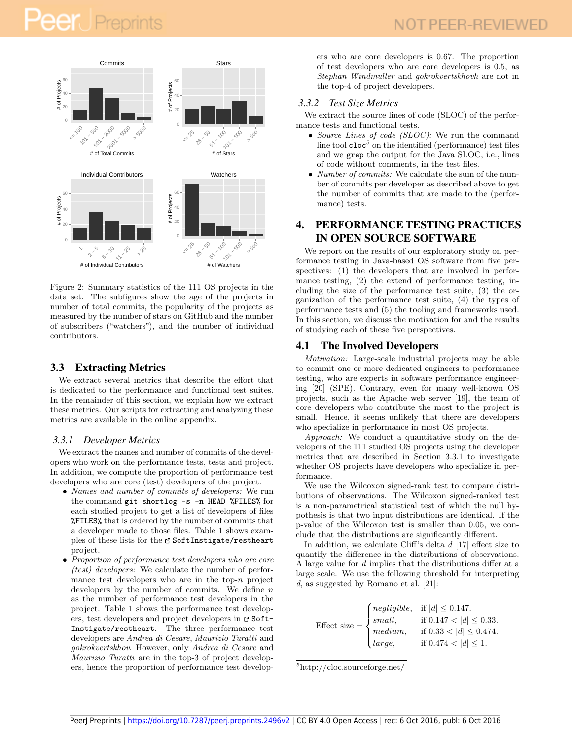<span id="page-4-1"></span>

Figure 2: Summary statistics of the 111 OS projects in the data set. The subfigures show the age of the projects in number of total commits, the popularity of the projects as measured by the number of stars on GitHub and the number of subscribers ("watchers"), and the number of individual contributors.

### 3.3 Extracting Metrics

We extract several metrics that describe the effort that is dedicated to the performance and functional test suites. In the remainder of this section, we explain how we extract these metrics. Our scripts for extracting and analyzing these metrics are available in the online appendix.

### <span id="page-4-3"></span>*3.3.1 Developer Metrics*

We extract the names and number of commits of the developers who work on the performance tests, tests and project. In addition, we compute the proportion of performance test developers who are core (test) developers of the project.

- Names and number of commits of developers: We run the command git shortlog -s -n HEAD %FILES% for each studied project to get a list of developers of files %FILES% that is ordered by the number of commits that a developer made to those files. Table [1](#page-5-0) shows exam-ples of these lists for the C [SoftInstigate/restheart](https://github.com/SoftInstigate/restheart) project.
- Proportion of performance test developers who are core (test) developers: We calculate the number of performance test developers who are in the top- $n$  project developers by the number of commits. We define  $n$ as the number of performance test developers in the project. Table [1](#page-5-0) shows the performance test developers, test developers and project developers in  $\sigma$  [Soft-](https://github.com/SoftInstigate/restheart)[Instigate/restheart](https://github.com/SoftInstigate/restheart). The three performance test developers are Andrea di Cesare, Maurizio Turatti and gokrokvertskhov. However, only Andrea di Cesare and Maurizio Turatti are in the top-3 of project developers, hence the proportion of performance test develop-

ers who are core developers is 0.67. The proportion of test developers who are core developers is 0.5, as Stephan Windmuller and gokrokvertskhovh are not in the top-4 of project developers.

#### <span id="page-4-4"></span>*3.3.2 Test Size Metrics*

We extract the source lines of code (SLOC) of the performance tests and functional tests.

- Source Lines of code (SLOC): We run the command line tool  $\mathsf{cloc}^5$  $\mathsf{cloc}^5$  on the identified (performance) test files and we grep the output for the Java SLOC, i.e., lines of code without comments, in the test files.
- Number of commits: We calculate the sum of the number of commits per developer as described above to get the number of commits that are made to the (performance) tests.

### <span id="page-4-0"></span>4. PERFORMANCE TESTING PRACTICES IN OPEN SOURCE SOFTWARE

We report on the results of our exploratory study on performance testing in Java-based OS software from five perspectives: (1) the developers that are involved in performance testing, (2) the extend of performance testing, including the size of the performance test suite, (3) the organization of the performance test suite, (4) the types of performance tests and (5) the tooling and frameworks used. In this section, we discuss the motivation for and the results of studying each of these five perspectives.

### <span id="page-4-5"></span>4.1 The Involved Developers

Motivation: Large-scale industrial projects may be able to commit one or more dedicated engineers to performance testing, who are experts in software performance engineering [\[20\]](#page-12-15) (SPE). Contrary, even for many well-known OS projects, such as the Apache web server [\[19\]](#page-12-16), the team of core developers who contribute the most to the project is small. Hence, it seems unlikely that there are developers who specialize in performance in most OS projects.

Approach: We conduct a quantitative study on the developers of the 111 studied OS projects using the developer metrics that are described in Section [3.3.1](#page-4-3) to investigate whether OS projects have developers who specialize in performance.

We use the Wilcoxon signed-rank test to compare distributions of observations. The Wilcoxon signed-ranked test is a non-parametrical statistical test of which the null hypothesis is that two input distributions are identical. If the p-value of the Wilcoxon test is smaller than 0.05, we conclude that the distributions are significantly different.

In addition, we calculate Cliff's delta  $d$  [\[17\]](#page-12-17) effect size to quantify the difference in the distributions of observations. A large value for d implies that the distributions differ at a large scale. We use the following threshold for interpreting d, as suggested by Romano et al. [\[21\]](#page-12-18):

$$
\text{Effect size} = \begin{cases} \text{negligible}, & \text{if } |d| \leq 0.147. \\ \text{small}, & \text{if } 0.147 < |d| \leq 0.33. \\ \text{medium}, & \text{if } 0.33 < |d| \leq 0.474. \\ \text{large}, & \text{if } 0.474 < |d| \leq 1. \end{cases}
$$

<span id="page-4-2"></span><sup>5</sup><http://cloc.sourceforge.net/>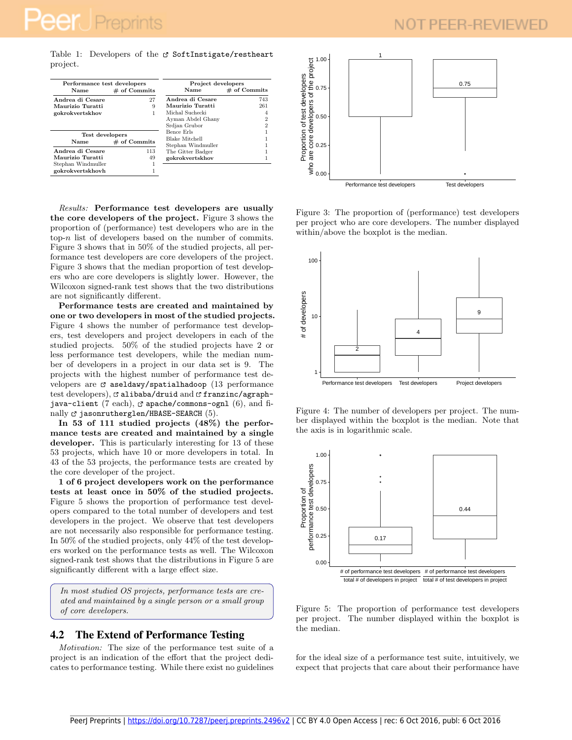<span id="page-5-0"></span>Table 1: Developers of the C [SoftInstigate/restheart](https://github.com/SoftInstigate/restheart) project.

| Performance test developers |                         | Project developers |                 |
|-----------------------------|-------------------------|--------------------|-----------------|
| Name                        | $#$ of Commits          | Name               | $\#$ of Commits |
| Andrea di Cesare            | 27                      | Andrea di Cesare   | 743             |
| Maurizio Turatti            | 9                       | Maurizio Turatti   | 261             |
| gokrokvertskhov             |                         | Michal Suchecki    |                 |
|                             |                         | Ayman Abdel Ghany  | 2               |
|                             |                         | Srdjan Grubor      | ≘               |
| Test developers             |                         | Bence Erls         |                 |
|                             | $\#$ of Commits<br>Name | Blake Mitchell     |                 |
|                             |                         | Stephan Windmuller |                 |
| Andrea di Cesare            | 113                     | The Gitter Badger  |                 |
| Maurizio Turatti            | 49                      | gokrokvertskhov    |                 |
| Stephan Windmuller          |                         |                    |                 |
| gokrokvertskhovh            |                         |                    |                 |

Results: Performance test developers are usually the core developers of the project. Figure [3](#page-5-1) shows the proportion of (performance) test developers who are in the top-n list of developers based on the number of commits. Figure [3](#page-5-1) shows that in 50% of the studied projects, all performance test developers are core developers of the project. Figure [3](#page-5-1) shows that the median proportion of test developers who are core developers is slightly lower. However, the Wilcoxon signed-rank test shows that the two distributions are not significantly different.

Performance tests are created and maintained by one or two developers in most of the studied projects. Figure [4](#page-5-2) shows the number of performance test developers, test developers and project developers in each of the studied projects. 50% of the studied projects have 2 or less performance test developers, while the median number of developers in a project in our data set is 9. The projects with the highest number of performance test developers are  $\mathbb C$  [aseldawy/spatialhadoop](https://github.com/aseldawy/spatialhadoop) (13 performance test developers), c'[alibaba/druid](https://github.com/alibaba/druid) and c' [franzinc/agraph](https://github.com/franzinc/agraph-java-client)[java-client](https://github.com/franzinc/agraph-java-client) (7 each),  $\sigma$  [apache/commons-ognl](https://github.com/apache/commons-ognl) (6), and finally  $\sigma$  [jasonrutherglen/HBASE-SEARCH](https://github.com/jasonrutherglen/HBASE-SEARCH) (5).

In 53 of 111 studied projects (48%) the performance tests are created and maintained by a single developer. This is particularly interesting for 13 of these 53 projects, which have 10 or more developers in total. In 43 of the 53 projects, the performance tests are created by the core developer of the project.

1 of 6 project developers work on the performance tests at least once in 50% of the studied projects. Figure [5](#page-5-3) shows the proportion of performance test developers compared to the total number of developers and test developers in the project. We observe that test developers are not necessarily also responsible for performance testing. In 50% of the studied projects, only 44% of the test developers worked on the performance tests as well. The Wilcoxon signed-rank test shows that the distributions in Figure [5](#page-5-3) are significantly different with a large effect size.

In most studied OS projects, performance tests are created and maintained by a single person or a small group of core developers.

### <span id="page-5-4"></span>4.2 The Extend of Performance Testing

Motivation: The size of the performance test suite of a project is an indication of the effort that the project dedicates to performance testing. While there exist no guidelines



<span id="page-5-1"></span>

Figure 3: The proportion of (performance) test developers per project who are core developers. The number displayed within/above the boxplot is the median.

<span id="page-5-2"></span>

Figure 4: The number of developers per project. The number displayed within the boxplot is the median. Note that the axis is in logarithmic scale.

<span id="page-5-3"></span>

Figure 5: The proportion of performance test developers per project. The number displayed within the boxplot is the median.

for the ideal size of a performance test suite, intuitively, we expect that projects that care about their performance have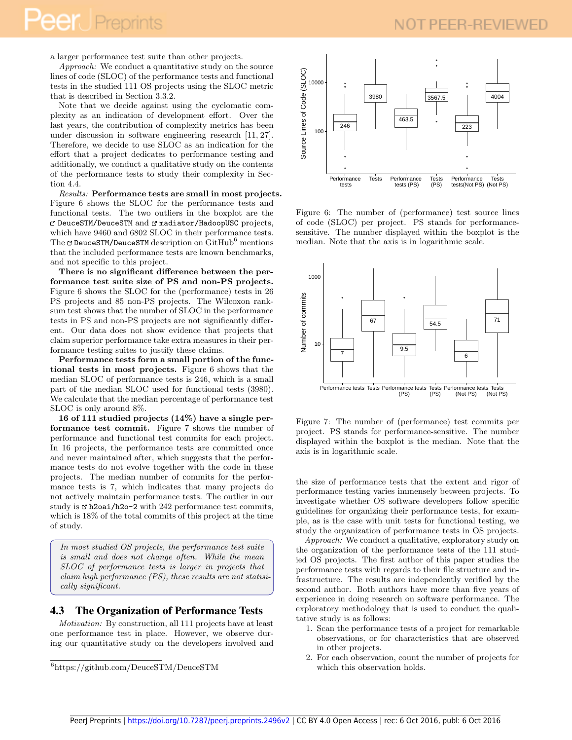a larger performance test suite than other projects.

Approach: We conduct a quantitative study on the source lines of code (SLOC) of the performance tests and functional tests in the studied 111 OS projects using the SLOC metric that is described in Section [3.3.2.](#page-4-4)

Note that we decide against using the cyclomatic complexity as an indication of development effort. Over the last years, the contribution of complexity metrics has been under discussion in software engineering research [\[11,](#page-12-19) [27\]](#page-12-20). Therefore, we decide to use SLOC as an indication for the effort that a project dedicates to performance testing and additionally, we conduct a qualitative study on the contents of the performance tests to study their complexity in Section [4.4.](#page-7-0)

Results: Performance tests are small in most projects. Figure [6](#page-6-0) shows the SLOC for the performance tests and functional tests. The two outliers in the boxplot are the [DeuceSTM/DeuceSTM](https://github.com/DeuceSTM/DeuceSTM.git) and [madiator/HadoopUSC](https://github.com/madiator/HadoopUSC.git) projects, which have 9460 and 6802 SLOC in their performance tests. The  $\circ$  [DeuceSTM/DeuceSTM](https://github.com/DeuceSTM/DeuceSTM.git) description on GitHub<sup>[6](#page-6-1)</sup> mentions that the included performance tests are known benchmarks, and not specific to this project.

There is no significant difference between the performance test suite size of PS and non-PS projects. Figure [6](#page-6-0) shows the SLOC for the (performance) tests in 26 PS projects and 85 non-PS projects. The Wilcoxon ranksum test shows that the number of SLOC in the performance tests in PS and non-PS projects are not significantly different. Our data does not show evidence that projects that claim superior performance take extra measures in their performance testing suites to justify these claims.

Performance tests form a small portion of the functional tests in most projects. Figure [6](#page-6-0) shows that the median SLOC of performance tests is 246, which is a small part of the median SLOC used for functional tests (3980). We calculate that the median percentage of performance test SLOC is only around 8%.

16 of 111 studied projects (14%) have a single performance test commit. Figure [7](#page-6-2) shows the number of performance and functional test commits for each project. In 16 projects, the performance tests are committed once and never maintained after, which suggests that the performance tests do not evolve together with the code in these projects. The median number of commits for the performance tests is 7, which indicates that many projects do not actively maintain performance tests. The outlier in our study is  $\mathbb C$  [h2oai/h2o-2](https://github.com/h2oai/h2o-2.git) with 242 performance test commits, which is 18% of the total commits of this project at the time of study.

In most studied OS projects, the performance test suite is small and does not change often. While the mean SLOC of performance tests is larger in projects that claim high performance (PS), these results are not statisically significant.

#### <span id="page-6-3"></span>4.3 The Organization of Performance Tests

Motivation: By construction, all 111 projects have at least one performance test in place. However, we observe during our quantitative study on the developers involved and

<span id="page-6-0"></span>

Figure 6: The number of (performance) test source lines of code (SLOC) per project. PS stands for performancesensitive. The number displayed within the boxplot is the median. Note that the axis is in logarithmic scale.

<span id="page-6-2"></span>

Figure 7: The number of (performance) test commits per project. PS stands for performance-sensitive. The number displayed within the boxplot is the median. Note that the axis is in logarithmic scale.

the size of performance tests that the extent and rigor of performance testing varies immensely between projects. To investigate whether OS software developers follow specific guidelines for organizing their performance tests, for example, as is the case with unit tests for functional testing, we study the organization of performance tests in OS projects.

Approach: We conduct a qualitative, exploratory study on the organization of the performance tests of the 111 studied OS projects. The first author of this paper studies the performance tests with regards to their file structure and infrastructure. The results are independently verified by the second author. Both authors have more than five years of experience in doing research on software performance. The exploratory methodology that is used to conduct the qualitative study is as follows:

- 1. Scan the performance tests of a project for remarkable observations, or for characteristics that are observed in other projects.
- 2. For each observation, count the number of projects for which this observation holds.

<span id="page-6-1"></span><sup>6</sup><https://github.com/DeuceSTM/DeuceSTM>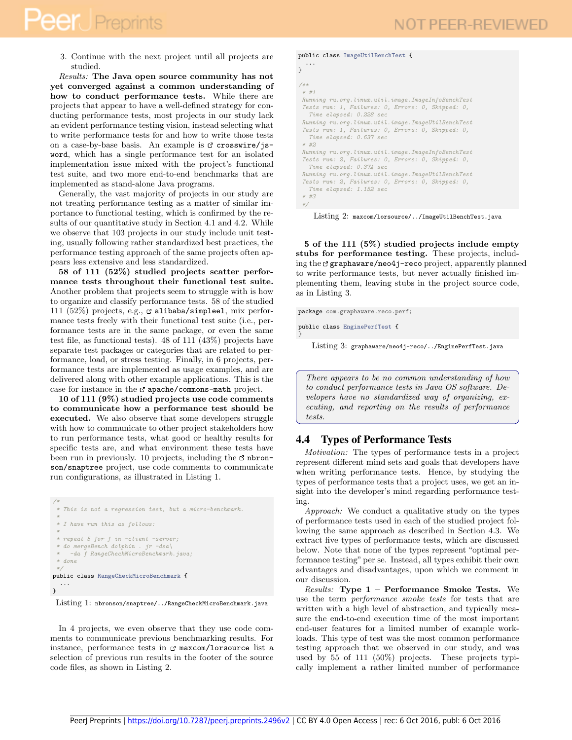3. Continue with the next project until all projects are studied.

Results: The Java open source community has not yet converged against a common understanding of how to conduct performance tests. While there are projects that appear to have a well-defined strategy for conducting performance tests, most projects in our study lack an evident performance testing vision, instead selecting what to write performance tests for and how to write those tests on a case-by-base basis. An example is [crosswire/js](https://github.com/crosswire/jsword.git)[word](https://github.com/crosswire/jsword.git), which has a single performance test for an isolated implementation issue mixed with the project's functional test suite, and two more end-to-end benchmarks that are implemented as stand-alone Java programs.

Generally, the vast majority of projects in our study are not treating performance testing as a matter of similar importance to functional testing, which is confirmed by the results of our quantitative study in Section [4.1](#page-4-5) and [4.2.](#page-5-4) While we observe that 103 projects in our study include unit testing, usually following rather standardized best practices, the performance testing approach of the same projects often appears less extensive and less standardized.

58 of 111 (52%) studied projects scatter performance tests throughout their functional test suite. Another problem that projects seem to struggle with is how to organize and classify performance tests. 58 of the studied 111 (52%) projects, e.g.,  $\sigma$  [alibaba/simpleel](https://github.com/alibaba/simpleel.git), mix performance tests freely with their functional test suite (i.e., performance tests are in the same package, or even the same test file, as functional tests). 48 of 111 (43%) projects have separate test packages or categories that are related to performance, load, or stress testing. Finally, in 6 projects, performance tests are implemented as usage examples, and are delivered along with other example applications. This is the case for instance in the  $\sigma$  [apache/commons-math](commons-math https://github.com/apache/commons-math.git) project.

10 of 111 (9%) studied projects use code comments to communicate how a performance test should be executed. We also observe that some developers struggle with how to communicate to other project stakeholders how to run performance tests, what good or healthy results for specific tests are, and what environment these tests have been run in previously. 10 projects, including the  $\sigma$  [nbron](https://github.com/nbronson/snaptree.git)[son/snaptree](https://github.com/nbronson/snaptree.git) project, use code comments to communicate run configurations, as illustrated in Listing [1.](#page-7-1)

```
/*
* This is not a regression test, but a micro-benchmark.
 *
 * I have run this as follows:
 *
* repeat 5 for f in -client -server;
 * do mergeBench dolphin . jr -dsa\
    -da f RangeCheckMicroBenchmark.java;
 * done
 */
public class RangeCheckMicroBenchmark {
  ...
}
```
Listing 1: [nbronson/snaptree/../RangeCheckMicroBenchmark.java](https://github.com/nbronson/snaptree/blob/178f6be838d8e624d1f8cf4413af12c4018d0935/src/test/java/jsr166tests/jtreg/util/ArrayList/RangeCheckMicroBenchmark.java)

In 4 projects, we even observe that they use code comments to communicate previous benchmarking results. For instance, performance tests in  $C$  [maxcom/lorsource](https://github.com/maxcom/lorsource.git) list a selection of previous run results in the footer of the source code files, as shown in Listing [2.](#page-7-2)

```
public class ImageUtilBenchTest {
  ...
}
/**
*  #1Running ru.org.linux.util.image.ImageInfoBenchTest
 Tests run: 1, Failures: 0, Errors: 0, Skipped: 0,
   Time elapsed: 0.228 sec
 Running ru.org.linux.util.image.ImageUtilBenchTest
 Tests run: 1, Failures: 0, Errors: 0, Skipped: 0,
  Time elapsed: 0.637 sec
 * #2
 Running ru.org.linux.util.image.ImageInfoBenchTest
 Tests run: 2, Failures: 0, Errors: 0, Skipped: 0,
   Time elapsed: 0.374 sec
 Running ru.org.linux.util.image.ImageUtilBenchTest
 Tests run: 2, Failures: 0, Errors: 0, Skipped: 0,
  Time elapsed: 1.152 sec
 * #3
 */
```
Listing 2: [maxcom/lorsource/../ImageUtilBenchTest.java](https://github.com/maxcom/lorsource/blob/b1c2d021c12defe20313c0cb713bfbda866837e4/src/test/java/ru/org/linux/util/image/ImageUtilBenchTest.java)

5 of the 111 (5%) studied projects include empty stubs for performance testing. These projects, including the G [graphaware/neo4j-reco](https://github.com/graphaware/neo4j-reco.git) project, apparently planned to write performance tests, but never actually finished implementing them, leaving stubs in the project source code, as in Listing [3.](#page-7-3)

```
package com.graphaware.reco.perf;
```

```
public class EnginePerfTest {
}
```
Listing 3: [graphaware/neo4j-reco/../EnginePerfTest.java](https://github.com/graphaware/neo4j-reco/blob/1a5fdd4feef1f1c23e3e027530ea79b6258c76de/src/test/java/com/graphaware/reco/perf/EnginePerfTest.java)

There appears to be no common understanding of how to conduct performance tests in Java OS software. Developers have no standardized way of organizing, executing, and reporting on the results of performance tests.

### <span id="page-7-0"></span>4.4 Types of Performance Tests

Motivation: The types of performance tests in a project represent different mind sets and goals that developers have when writing performance tests. Hence, by studying the types of performance tests that a project uses, we get an insight into the developer's mind regarding performance testing.

Approach: We conduct a qualitative study on the types of performance tests used in each of the studied project following the same approach as described in Section [4.3.](#page-6-3) We extract five types of performance tests, which are discussed below. Note that none of the types represent "optimal performance testing" per se. Instead, all types exhibit their own advantages and disadvantages, upon which we comment in our discussion.

*Results:* Type  $1$  – Performance Smoke Tests. We use the term performance smoke tests for tests that are written with a high level of abstraction, and typically measure the end-to-end execution time of the most important end-user features for a limited number of example workloads. This type of test was the most common performance testing approach that we observed in our study, and was used by 55 of 111 (50%) projects. These projects typically implement a rather limited number of performance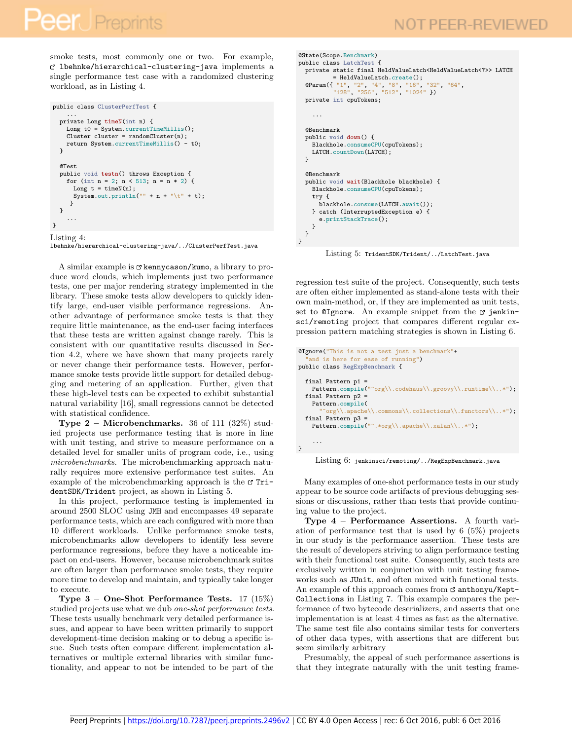smoke tests, most commonly one or two. For example, [lbehnke/hierarchical-clustering-java](https://github.com/lbehnke/hierarchical-clustering-java.git) implements a single performance test case with a randomized clustering workload, as in Listing [4.](#page-8-0)

```
public class ClusterPerfTest {
  ...
private Long timeN(int n) {
    Long t0 = System.currentTimeMillis();
    Cluster cluster = randomCluster(n);
    return System.currentTimeMillis() - t0;
  }
  @Test
  public void testn() throws Exception {
    for (int n = 2; n < 513; n = n * 2) {
      Long t = timeN(n);
      \texttt{System.out.println(" " + n + " \t", t " + t)};}
  }
     ...
}
```
Listing 4: [lbehnke/hierarchical-clustering-java/../ClusterPerfTest.java](https://github.com/lbehnke/hierarchical-clustering-java/blob/master/src/test/java/com/apporiented/algorithm/clustering/ClusterPerfTest.java)

A similar example is  $C$  [kennycason/kumo](https://github.com/kennycason/kumo.git), a library to produce word clouds, which implements just two performance tests, one per major rendering strategy implemented in the library. These smoke tests allow developers to quickly identify large, end-user visible performance regressions. Another advantage of performance smoke tests is that they require little maintenance, as the end-user facing interfaces that these tests are written against change rarely. This is consistent with our quantitative results discussed in Section [4.2,](#page-5-4) where we have shown that many projects rarely or never change their performance tests. However, performance smoke tests provide little support for detailed debugging and metering of an application. Further, given that these high-level tests can be expected to exhibit substantial natural variability [\[16\]](#page-12-21), small regressions cannot be detected with statistical confidence.

**Type 2 – Microbenchmarks.** 36 of 111  $(32\%)$  studied projects use performance testing that is more in line with unit testing, and strive to measure performance on a detailed level for smaller units of program code, i.e., using microbenchmarks. The microbenchmarking approach naturally requires more extensive performance test suites. An example of the microbenchmarking approach is the  $C$ <sup>Tri-</sup> [dentSDK/Trident](https://github.com/TridentSDK/Trident) project, as shown in Listing [5.](#page-8-1)

In this project, performance testing is implemented in around 2500 SLOC using JMH and encompasses 49 separate performance tests, which are each configured with more than 10 different workloads. Unlike performance smoke tests, microbenchmarks allow developers to identify less severe performance regressions, before they have a noticeable impact on end-users. However, because microbenchmark suites are often larger than performance smoke tests, they require more time to develop and maintain, and typically take longer to execute.

Type  $3$  – One-Shot Performance Tests. 17 (15%) studied projects use what we dub one-shot performance tests. These tests usually benchmark very detailed performance issues, and appear to have been written primarily to support development-time decision making or to debug a specific issue. Such tests often compare different implementation alternatives or multiple external libraries with similar functionality, and appear to not be intended to be part of the

```
@State(Scope.Benchmark)
public class LatchTest {
  private static final HeldValueLatch<HeldValueLatch<?>>
LATCH
          = HeldValueLatch.create();
   @Param({ "1", "2", "4", "8", "16", "32", "64",
"128", "256", "512", "1024" })
  private int cpuTokens;
     ...
  @Benchmark
  public void down() {
    Blackhole.consumeCPU(cpuTokens);
    LATCH.countDown(LATCH);
  }
  @Benchmark
  public void wait(Blackhole blackhole) {
    Blackhole.consumeCPU(cpuTokens);
    try {
      blackhole.consume(LATCH.await());
    } catch (InterruptedException e) {
      e.printStackTrace();
    }
 }
}
```
Listing 5: [TridentSDK/Trident/../LatchTest.java](https://github.com/TridentSDK/Trident/blob/18973d4841889816840f9cec9cd710abef40e81c/src/test/java/net/tridentsdk/server/bench/LatchTest.java)

regression test suite of the project. Consequently, such tests are often either implemented as stand-alone tests with their own main-method, or, if they are implemented as unit tests, set to  $@Ignore.$  An example snippet from the  $@$  [jenkin](https://github.com/jenkinsci/remoting.git)[sci/remoting](https://github.com/jenkinsci/remoting.git) project that compares different regular expression pattern matching strategies is shown in Listing [6.](#page-8-2)

```
@Ignore("This is not a test just a benchmark"+
   and is here for ease of running")
public class RegExpBenchmark {
  final Pattern p1 =
    Pattern.compile("^org\\.codehaus\\.groovy\\.runtime\\..*");
  final Pattern p2 =
    Pattern.compile(
         \thapache\\.commons\\.collections\\.functors\\..*");
  final Pattern p3 =
    Pattern.compile("^.*org\\.apache\\.xalan\\..*");
    ...
}
```
Listing 6: [jenkinsci/remoting/../RegExpBenchmark.java](https://github.com/jenkinsci/remoting/blob/7cb41387b0210ec96dd48f7cbb75b8238626dcb9/src/test/java/hudson/remoting/RegExpBenchmark.java)

Many examples of one-shot performance tests in our study appear to be source code artifacts of previous debugging sessions or discussions, rather than tests that provide continuing value to the project.

Type 4 – Performance Assertions. A fourth variation of performance test that is used by 6 (5%) projects in our study is the performance assertion. These tests are the result of developers striving to align performance testing with their functional test suite. Consequently, such tests are exclusively written in conjunction with unit testing frameworks such as JUnit, and often mixed with functional tests. An example of this approach comes from  $C$  [anthonyu/Kept-](https://github.com/anthonyu/KeptCollections.git)[Collections](https://github.com/anthonyu/KeptCollections.git) in Listing [7.](#page-9-0) This example compares the performance of two bytecode deserializers, and asserts that one implementation is at least 4 times as fast as the alternative. The same test file also contains similar tests for converters of other data types, with assertions that are different but seem similarly arbitrary

Presumably, the appeal of such performance assertions is that they integrate naturally with the unit testing frame-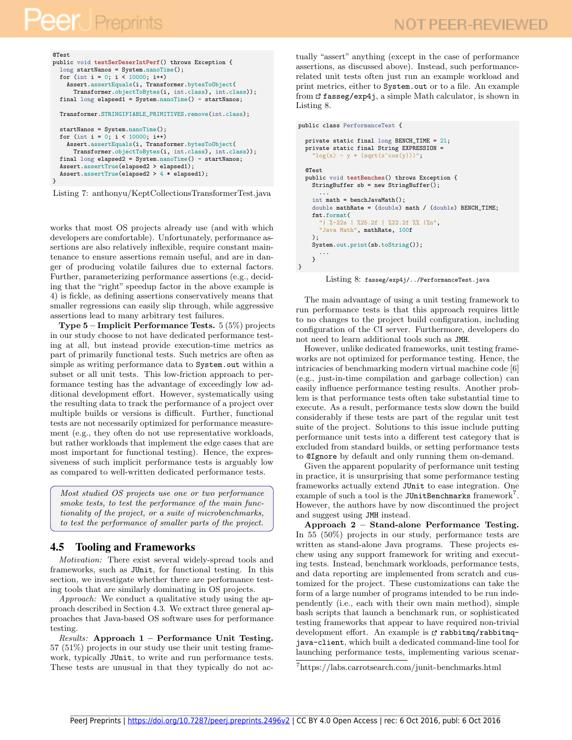<span id="page-9-0"></span>@Test

```
public void testSerDeserIntPerf() throws Exception {
  long startNanos = System.nanoTime();
  for (int i = 0; i < 10000; i++)
    Assert.assertEquals(i, Transformer.bytesToObject(
      Transformer.objectToBytes(i, int.class), int.class));
  final long elapsed1 = System.nanoTime() - startNanos;
  Transformer.STRINGIFIABLE_PRIMITIVES.remove(int.class);
  startNanos = System.nanoTime();
  for (int i = 0; i < 10000; i++)
    Assert.assertEquals(i, Transformer.bytesToObject(
      Transformer.objectToBytes(i, int.class), int.class));
  final long elapsed2 = System.nanoTime() - startNanos;
  Assert.assertTrue(elapsed2 > elapsed1);
  Assert.assertTrue(elapsed2 > 4 * elapsed1);
}
```


works that most OS projects already use (and with which developers are comfortable). Unfortunately, performance assertions are also relatively inflexible, require constant maintenance to ensure assertions remain useful, and are in danger of producing volatile failures due to external factors. Further, parameterizing performance assertions (e.g., deciding that the "right" speedup factor in the above example is 4) is fickle, as defining assertions conservatively means that smaller regressions can easily slip through, while aggressive assertions lead to many arbitrary test failures.

Type 5 – Implicit Performance Tests. 5 (5%) projects in our study choose to not have dedicated performance testing at all, but instead provide execution-time metrics as part of primarily functional tests. Such metrics are often as simple as writing performance data to System.out within a subset or all unit tests. This low-friction approach to performance testing has the advantage of exceedingly low additional development effort. However, systematically using the resulting data to track the performance of a project over multiple builds or versions is difficult. Further, functional tests are not necessarily optimized for performance measurement (e.g., they often do not use representative workloads, but rather workloads that implement the edge cases that are most important for functional testing). Hence, the expressiveness of such implicit performance tests is arguably low as compared to well-written dedicated performance tests.

Most studied OS projects use one or two performance smoke tests, to test the performance of the main functionality of the project, or a suite of microbenchmarks, to test the performance of smaller parts of the project.

### 4.5 Tooling and Frameworks

Motivation: There exist several widely-spread tools and frameworks, such as JUnit, for functional testing. In this section, we investigate whether there are performance testing tools that are similarly dominating in OS projects.

Approach: We conduct a qualitative study using the approach described in Section [4.3.](#page-6-3) We extract three general approaches that Java-based OS software uses for performance testing.

*Results:* Approach  $1$  – Performance Unit Testing. 57 (51%) projects in our study use their unit testing framework, typically JUnit, to write and run performance tests. These tests are unusual in that they typically do not actually "assert" anything (except in the case of performance assertions, as discussed above). Instead, such performancerelated unit tests often just run an example workload and print metrics, either to System.out or to a file. An example from  $C$  [fasseg/exp4j](https://github.com/fasseg/exp4j.git), a simple Math calculator, is shown in Listing [8.](#page-9-1)

```
public class PerformanceTest {
  private static final long BENCH_TIME = 2l;
  private static final String EXPRESSION =
     "log(x) - y * (sqrt(x^ncos(y)))";
  @Test
  public void testBenches() throws Exception {
    StringBuffer sb = new StringBuffer();
       ...
    int math = benchJavaMath();
    double mathRate = (double) math / (double) BENCH_TIME;
    fmt.format(
       \frac{1}{2} %-22s | %25.2f | %22.2f %% | %n",
      "Java Math", mathRate, 100f
    );
    System.out.print(sb.toString());
       ...
    }
}
```
Listing 8: [fasseg/exp4j/../PerformanceTest.java](https://github.com/fasseg/exp4j/blob/ee8d8138dc1649543e6ea2af7005b3de1d205dda/src/test/java/net/objecthunter/exp4j/PerformanceTest.java)

The main advantage of using a unit testing framework to run performance tests is that this approach requires little to no changes to the project build configuration, including configuration of the CI server. Furthermore, developers do not need to learn additional tools such as JMH.

However, unlike dedicated frameworks, unit testing frameworks are not optimized for performance testing. Hence, the intricacies of benchmarking modern virtual machine code [\[6\]](#page-12-22) (e.g., just-in-time compilation and garbage collection) can easily influence performance testing results. Another problem is that performance tests often take substantial time to execute. As a result, performance tests slow down the build considerably if these tests are part of the regular unit test suite of the project. Solutions to this issue include putting performance unit tests into a different test category that is excluded from standard builds, or setting performance tests to @Ignore by default and only running them on-demand.

Given the apparent popularity of performance unit testing in practice, it is unsurprising that some performance testing frameworks actually extend JUnit to ease integration. One example of such a tool is the JUnitBenchmarks framework<sup>[7](#page-9-2)</sup>. However, the authors have by now discontinued the project and suggest using JMH instead.

Approach 2 – Stand-alone Performance Testing. In 55 (50%) projects in our study, performance tests are written as stand-alone Java programs. These projects eschew using any support framework for writing and executing tests. Instead, benchmark workloads, performance tests, and data reporting are implemented from scratch and customized for the project. These customizations can take the form of a large number of programs intended to be run independently (i.e., each with their own main method), simple bash scripts that launch a benchmark run, or sophisticated testing frameworks that appear to have required non-trivial development effort. An example is c [rabbitmq/rabbitmq](https://github.com/rabbitmq/rabbitmq-java-client.git)[java-client](https://github.com/rabbitmq/rabbitmq-java-client.git), which built a dedicated command-line tool for launching performance tests, implementing various scenar-

<span id="page-9-2"></span><sup>7</sup><https://labs.carrotsearch.com/junit-benchmarks.html>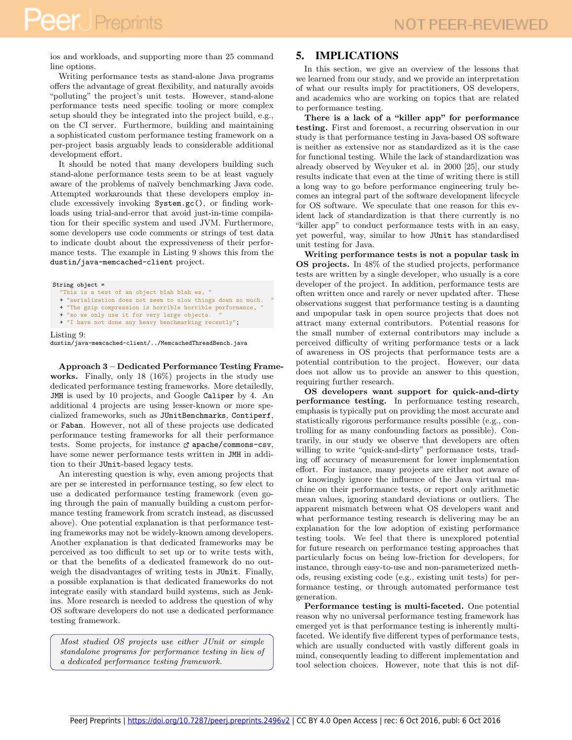ios and workloads, and supporting more than 25 command line options.

Writing performance tests as stand-alone Java programs offers the advantage of great flexibility, and naturally avoids "polluting" the project's unit tests. However, stand-alone performance tests need specific tooling or more complex setup should they be integrated into the project build, e.g., on the CI server. Furthermore, building and maintaining a sophisticated custom performance testing framework on a per-project basis arguably leads to considerable additional development effort.

It should be noted that many developers building such stand-alone performance tests seem to be at least vaguely aware of the problems of naïvely benchmarking Java code. Attempted workarounds that these developers employ include excessively invoking System.gc(), or finding workloads using trial-and-error that avoid just-in-time compilation for their specific system and used JVM. Furthermore, some developers use code comments or strings of test data to indicate doubt about the expressiveness of their performance tests. The example in Listing [9](#page-10-1) shows this from the dustin/java-memcached-client project.

<span id="page-10-1"></span>String object =

- "This is a test of an object blah blah es, "
- + "serialization does not seem to slow things down so much.
- + "The gzip compression is horrible horrible performance,
- + "so we only use it for very large objects.
- + "I have not done any heavy benchmarking recently";

#### Listing 9:

[dustin/java-memcached-client/../MemcachedThreadBench.java](https://github.com/dustin/java-memcached-client/blob/953c322ad254bf6f544bac6738114176040a9c6f/src/test/manual/net/spy/memcached/test/MemcachedThreadBench.java)

Approach 3 – Dedicated Performance Testing Frameworks. Finally, only 18 (16%) projects in the study use dedicated performance testing frameworks. More detailedly, JMH is used by 10 projects, and Google Caliper by 4. An additional 4 projects are using lesser-known or more specialized frameworks, such as JUnitBenchmarks, Contiperf, or Faban. However, not all of these projects use dedicated performance testing frameworks for all their performance tests. Some projects, for instance  $\mathbb C$  [apache/commons-csv](https://github.com/apache/commons-csv.git), have some newer performance tests written in JMH in addition to their JUnit-based legacy tests.

An interesting question is why, even among projects that are per se interested in performance testing, so few elect to use a dedicated performance testing framework (even going through the pain of manually building a custom performance testing framework from scratch instead, as discussed above). One potential explanation is that performance testing frameworks may not be widely-known among developers. Another explanation is that dedicated frameworks may be perceived as too difficult to set up or to write tests with, or that the benefits of a dedicated framework do no outweigh the disadvantages of writing tests in JUnit. Finally, a possible explanation is that dedicated frameworks do not integrate easily with standard build systems, such as Jenkins. More research is needed to address the question of why OS software developers do not use a dedicated performance testing framework.

Most studied OS projects use either JUnit or simple standalone programs for performance testing in lieu of a dedicated performance testing framework.

### <span id="page-10-0"></span>5. IMPLICATIONS

In this section, we give an overview of the lessons that we learned from our study, and we provide an interpretation of what our results imply for practitioners, OS developers, and academics who are working on topics that are related to performance testing.

There is a lack of a "killer app" for performance testing. First and foremost, a recurring observation in our study is that performance testing in Java-based OS software is neither as extensive nor as standardized as it is the case for functional testing. While the lack of standardization was already observed by Weyuker et al. in 2000 [\[25\]](#page-12-11), our study results indicate that even at the time of writing there is still a long way to go before performance engineering truly becomes an integral part of the software development lifecycle for OS software. We speculate that one reason for this evident lack of standardization is that there currently is no "killer app" to conduct performance tests with in an easy, yet powerful, way, similar to how JUnit has standardised unit testing for Java.

Writing performance tests is not a popular task in OS projects. In 48% of the studied projects, performance tests are written by a single developer, who usually is a core developer of the project. In addition, performance tests are often written once and rarely or never updated after. These observations suggest that performance testing is a daunting and unpopular task in open source projects that does not attract many external contributors. Potential reasons for the small number of external contributors may include a perceived difficulty of writing performance tests or a lack of awareness in OS projects that performance tests are a potential contribution to the project. However, our data does not allow us to provide an answer to this question, requiring further research.

OS developers want support for quick-and-dirty performance testing. In performance testing research, emphasis is typically put on providing the most accurate and statistically rigorous performance results possible (e.g., controlling for as many confounding factors as possible). Contrarily, in our study we observe that developers are often willing to write "quick-and-dirty" performance tests, trading off accuracy of measurement for lower implementation effort. For instance, many projects are either not aware of or knowingly ignore the influence of the Java virtual machine on their performance tests, or report only arithmetic mean values, ignoring standard deviations or outliers. The apparent mismatch between what OS developers want and what performance testing research is delivering may be an explanation for the low adoption of existing performance testing tools. We feel that there is unexplored potential for future research on performance testing approaches that particularly focus on being low-friction for developers, for instance, through easy-to-use and non-parameterized methods, reusing existing code (e.g., existing unit tests) for performance testing, or through automated performance test generation.

Performance testing is multi-faceted. One potential reason why no universal performance testing framework has emerged yet is that performance testing is inherently multifaceted. We identify five different types of performance tests, which are usually conducted with vastly different goals in mind, consequently leading to different implementation and tool selection choices. However, note that this is not dif-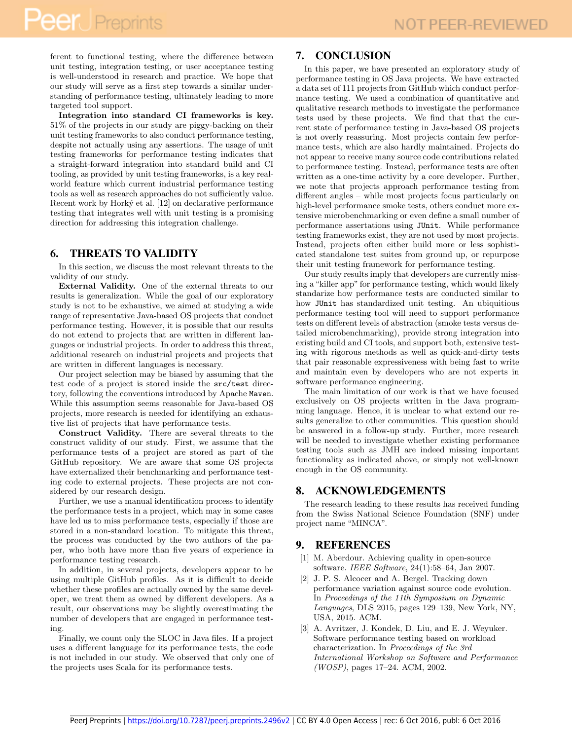ferent to functional testing, where the difference between unit testing, integration testing, or user acceptance testing is well-understood in research and practice. We hope that our study will serve as a first step towards a similar understanding of performance testing, ultimately leading to more targeted tool support.

Integration into standard CI frameworks is key. 51% of the projects in our study are piggy-backing on their unit testing frameworks to also conduct performance testing, despite not actually using any assertions. The usage of unit testing frameworks for performance testing indicates that a straight-forward integration into standard build and CI tooling, as provided by unit testing frameworks, is a key realworld feature which current industrial performance testing tools as well as research approaches do not sufficiently value. Recent work by Horký et al. [\[12\]](#page-12-23) on declarative performance testing that integrates well with unit testing is a promising direction for addressing this integration challenge.

### <span id="page-11-1"></span>6. THREATS TO VALIDITY

In this section, we discuss the most relevant threats to the validity of our study.

External Validity. One of the external threats to our results is generalization. While the goal of our exploratory study is not to be exhaustive, we aimed at studying a wide range of representative Java-based OS projects that conduct performance testing. However, it is possible that our results do not extend to projects that are written in different languages or industrial projects. In order to address this threat, additional research on industrial projects and projects that are written in different languages is necessary.

Our project selection may be biased by assuming that the test code of a project is stored inside the src/test directory, following the conventions introduced by Apache Maven. While this assumption seems reasonable for Java-based OS projects, more research is needed for identifying an exhaustive list of projects that have performance tests.

Construct Validity. There are several threats to the construct validity of our study. First, we assume that the performance tests of a project are stored as part of the GitHub repository. We are aware that some OS projects have externalized their benchmarking and performance testing code to external projects. These projects are not considered by our research design.

Further, we use a manual identification process to identify the performance tests in a project, which may in some cases have led us to miss performance tests, especially if those are stored in a non-standard location. To mitigate this threat, the process was conducted by the two authors of the paper, who both have more than five years of experience in performance testing research.

In addition, in several projects, developers appear to be using multiple GitHub profiles. As it is difficult to decide whether these profiles are actually owned by the same developer, we treat them as owned by different developers. As a result, our observations may be slightly overestimating the number of developers that are engaged in performance testing.

Finally, we count only the SLOC in Java files. If a project uses a different language for its performance tests, the code is not included in our study. We observed that only one of the projects uses Scala for its performance tests.

### <span id="page-11-2"></span>7. CONCLUSION

In this paper, we have presented an exploratory study of performance testing in OS Java projects. We have extracted a data set of 111 projects from GitHub which conduct performance testing. We used a combination of quantitative and qualitative research methods to investigate the performance tests used by these projects. We find that that the current state of performance testing in Java-based OS projects is not overly reassuring. Most projects contain few performance tests, which are also hardly maintained. Projects do not appear to receive many source code contributions related to performance testing. Instead, performance tests are often written as a one-time activity by a core developer. Further, we note that projects approach performance testing from different angles – while most projects focus particularly on high-level performance smoke tests, others conduct more extensive microbenchmarking or even define a small number of performance assertations using JUnit. While performance testing frameworks exist, they are not used by most projects. Instead, projects often either build more or less sophisticated standalone test suites from ground up, or repurpose their unit testing framework for performance testing.

Our study results imply that developers are currently missing a "killer app" for performance testing, which would likely standarize how performance tests are conducted similar to how JUnit has standardized unit testing. An ubiquitious performance testing tool will need to support performance tests on different levels of abstraction (smoke tests versus detailed microbenchmarking), provide strong integration into existing build and CI tools, and support both, extensive testing with rigorous methods as well as quick-and-dirty tests that pair reasonable expressiveness with being fast to write and maintain even by developers who are not experts in software performance engineering.

The main limitation of our work is that we have focused exclusively on OS projects written in the Java programming language. Hence, it is unclear to what extend our results generalize to other communities. This question should be answered in a follow-up study. Further, more research will be needed to investigate whether existing performance testing tools such as JMH are indeed missing important functionality as indicated above, or simply not well-known enough in the OS community.

## 8. ACKNOWLEDGEMENTS

The research leading to these results has received funding from the Swiss National Science Foundation (SNF) under project name "MINCA".

### 9. REFERENCES

- <span id="page-11-0"></span>[1] M. Aberdour. Achieving quality in open-source software. IEEE Software, 24(1):58–64, Jan 2007.
- <span id="page-11-3"></span>[2] J. P. S. Alcocer and A. Bergel. Tracking down performance variation against source code evolution. In Proceedings of the 11th Symposium on Dynamic Languages, DLS 2015, pages 129–139, New York, NY, USA, 2015. ACM.
- <span id="page-11-4"></span>[3] A. Avritzer, J. Kondek, D. Liu, and E. J. Weyuker. Software performance testing based on workload characterization. In Proceedings of the 3rd International Workshop on Software and Performance (WOSP), pages 17–24. ACM, 2002.